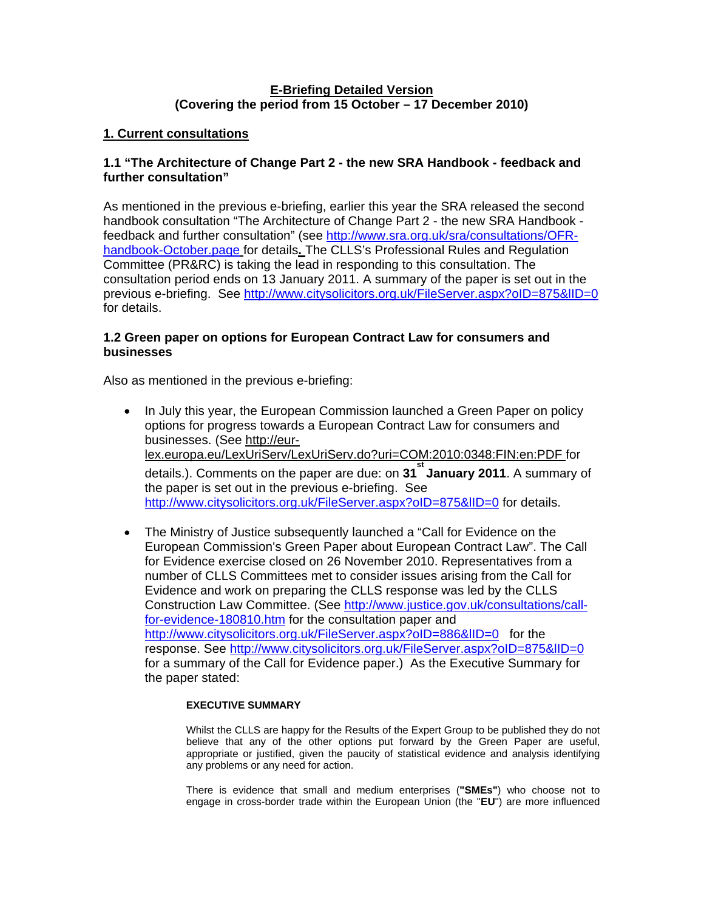# **E-Briefing Detailed Version (Covering the period from 15 October – 17 December 2010)**

# **1. Current consultations**

# **1.1 "The Architecture of Change Part 2 - the new SRA Handbook - feedback and further consultation"**

As mentioned in the previous e-briefing, earlier this year the SRA released the second handbook consultation "The Architecture of Change Part 2 - the new SRA Handbook feedback and further consultation" (see [http://www.sra.org.uk/sra/consultations/OFR](http://www.sra.org.uk/sra/consultations/OFR-handbook-October.page)[handbook-October.page](http://www.sra.org.uk/sra/consultations/OFR-handbook-October.page) for details**.** The CLLS's Professional Rules and Regulation Committee (PR&RC) is taking the lead in responding to this consultation. The consultation period ends on 13 January 2011. A summary of the paper is set out in the previous e-briefing. See<http://www.citysolicitors.org.uk/FileServer.aspx?oID=875&lID=0> for details.

# **1.2 Green paper on options for European Contract Law for consumers and businesses**

Also as mentioned in the previous e-briefing:

- In July this year, the European Commission launched a Green Paper on policy options for progress towards a European Contract Law for consumers and businesses. (See http://eurlex.europa.eu/LexUriServ/LexUriServ.do?uri=COM:2010:0348:FIN:en:PDF for details.). Comments on the paper are due: on **31 st January 2011**. A summary of the paper is set out in the previous e-briefing. See http://www.citysolicitors.org.uk/FileServer.aspx?oID=875&IID=0 for details.
- The Ministry of Justice subsequently launched a "Call for Evidence on the European Commission's Green Paper about European Contract Law". The Call for Evidence exercise closed on 26 November 2010. Representatives from a number of CLLS Committees met to consider issues arising from the Call for Evidence and work on preparing the CLLS response was led by the CLLS Construction Law Committee. (See [http://www.justice.gov.uk/consultations/call](http://www.justice.gov.uk/consultations/call-for-evidence-180810.htm)[for-evidence-180810.htm](http://www.justice.gov.uk/consultations/call-for-evidence-180810.htm) for the consultation paper and <http://www.citysolicitors.org.uk/FileServer.aspx?oID=886&lID=0> for the response. See<http://www.citysolicitors.org.uk/FileServer.aspx?oID=875&lID=0> for a summary of the Call for Evidence paper.) As the Executive Summary for the paper stated:

### **EXECUTIVE SUMMARY**

Whilst the CLLS are happy for the Results of the Expert Group to be published they do not believe that any of the other options put forward by the Green Paper are useful, appropriate or justified, given the paucity of statistical evidence and analysis identifying any problems or any need for action.

There is evidence that small and medium enterprises (**"SMEs"**) who choose not to engage in cross-border trade within the European Union (the "**EU**") are more influenced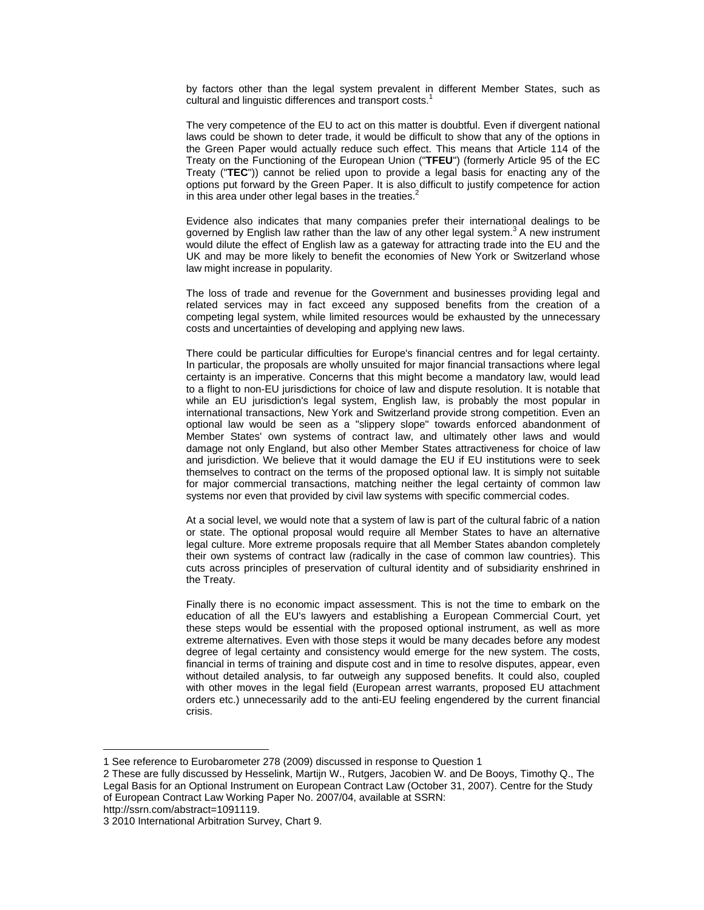by factors other than the legal system prevalent in different Member States, such as cultural and linguistic differences and transport costs.<sup>[1](#page-1-0)</sup>

The very competence of the EU to act on this matter is doubtful. Even if divergent national laws could be shown to deter trade, it would be difficult to show that any of the options in the Green Paper would actually reduce such effect. This means that Article 114 of the Treaty on the Functioning of the European Union ("**TFEU**") (formerly Article 95 of the EC Treaty ("**TEC**")) cannot be relied upon to provide a legal basis for enacting any of the options put forward by the Green Paper. It is also difficult to justify competence for action in this area under other legal bases in the treaties. $<sup>2</sup>$  $<sup>2</sup>$  $<sup>2</sup>$ </sup>

Evidence also indicates that many companies prefer their international dealings to be governed by English law rather than the law of any other legal system.<sup>[3](#page-1-2)</sup> A new instrument would dilute the effect of English law as a gateway for attracting trade into the EU and the UK and may be more likely to benefit the economies of New York or Switzerland whose law might increase in popularity.

The loss of trade and revenue for the Government and businesses providing legal and related services may in fact exceed any supposed benefits from the creation of a competing legal system, while limited resources would be exhausted by the unnecessary costs and uncertainties of developing and applying new laws.

There could be particular difficulties for Europe's financial centres and for legal certainty. In particular, the proposals are wholly unsuited for major financial transactions where legal certainty is an imperative. Concerns that this might become a mandatory law, would lead to a flight to non-EU jurisdictions for choice of law and dispute resolution. It is notable that while an EU jurisdiction's legal system, English law, is probably the most popular in international transactions, New York and Switzerland provide strong competition. Even an optional law would be seen as a "slippery slope" towards enforced abandonment of Member States' own systems of contract law, and ultimately other laws and would damage not only England, but also other Member States attractiveness for choice of law and jurisdiction. We believe that it would damage the EU if EU institutions were to seek themselves to contract on the terms of the proposed optional law. It is simply not suitable for major commercial transactions, matching neither the legal certainty of common law systems nor even that provided by civil law systems with specific commercial codes.

At a social level, we would note that a system of law is part of the cultural fabric of a nation or state. The optional proposal would require all Member States to have an alternative legal culture. More extreme proposals require that all Member States abandon completely their own systems of contract law (radically in the case of common law countries). This cuts across principles of preservation of cultural identity and of subsidiarity enshrined in the Treaty.

Finally there is no economic impact assessment. This is not the time to embark on the education of all the EU's lawyers and establishing a European Commercial Court, yet these steps would be essential with the proposed optional instrument, as well as more extreme alternatives. Even with those steps it would be many decades before any modest degree of legal certainty and consistency would emerge for the new system. The costs, financial in terms of training and dispute cost and in time to resolve disputes, appear, even without detailed analysis, to far outweigh any supposed benefits. It could also, coupled with other moves in the legal field (European arrest warrants, proposed EU attachment orders etc.) unnecessarily add to the anti-EU feeling engendered by the current financial crisis.

 $\overline{a}$ 

<span id="page-1-0"></span><sup>1</sup> See reference to Eurobarometer 278 (2009) discussed in response to Question 1

<span id="page-1-1"></span><sup>2</sup> These are fully discussed by Hesselink, Martijn W., Rutgers, Jacobien W. and De Booys, Timothy Q., The Legal Basis for an Optional Instrument on European Contract Law (October 31, 2007). Centre for the Study of European Contract Law Working Paper No. 2007/04, available at SSRN:

http://ssrn.com/abstract=1091119.

<span id="page-1-2"></span><sup>3 2010</sup> International Arbitration Survey, Chart 9.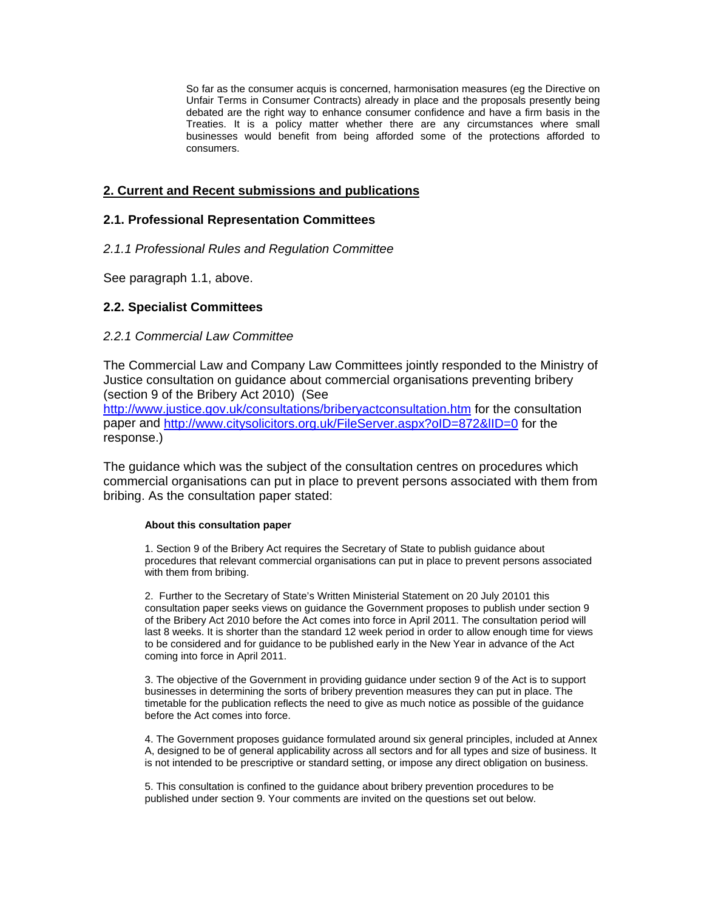So far as the consumer acquis is concerned, harmonisation measures (eg the Directive on Unfair Terms in Consumer Contracts) already in place and the proposals presently being debated are the right way to enhance consumer confidence and have a firm basis in the Treaties. It is a policy matter whether there are any circumstances where small businesses would benefit from being afforded some of the protections afforded to consumers.

# **2. Current and Recent submissions and publications**

## **2.1. Professional Representation Committees**

*2.1.1 Professional Rules and Regulation Committee* 

See paragraph 1.1, above.

### **2.2. Specialist Committees**

### *2.2.1 Commercial Law Committee*

The Commercial Law and Company Law Committees jointly responded to the Ministry of Justice consultation on guidance about commercial organisations preventing bribery (section 9 of the Bribery Act 2010) (See

<http://www.justice.gov.uk/consultations/briberyactconsultation.htm>for the consultation paper and <http://www.citysolicitors.org.uk/FileServer.aspx?oID=872&lID=0>for the response.)

The guidance which was the subject of the consultation centres on procedures which commercial organisations can put in place to prevent persons associated with them from bribing. As the consultation paper stated:

#### **About this consultation paper**

1. Section 9 of the Bribery Act requires the Secretary of State to publish guidance about procedures that relevant commercial organisations can put in place to prevent persons associated with them from bribing.

2. Further to the Secretary of State's Written Ministerial Statement on 20 July 20101 this consultation paper seeks views on guidance the Government proposes to publish under section 9 of the Bribery Act 2010 before the Act comes into force in April 2011. The consultation period will last 8 weeks. It is shorter than the standard 12 week period in order to allow enough time for views to be considered and for guidance to be published early in the New Year in advance of the Act coming into force in April 2011.

3. The objective of the Government in providing guidance under section 9 of the Act is to support businesses in determining the sorts of bribery prevention measures they can put in place. The timetable for the publication reflects the need to give as much notice as possible of the guidance before the Act comes into force.

4. The Government proposes guidance formulated around six general principles, included at Annex A, designed to be of general applicability across all sectors and for all types and size of business. It is not intended to be prescriptive or standard setting, or impose any direct obligation on business.

5. This consultation is confined to the guidance about bribery prevention procedures to be published under section 9. Your comments are invited on the questions set out below.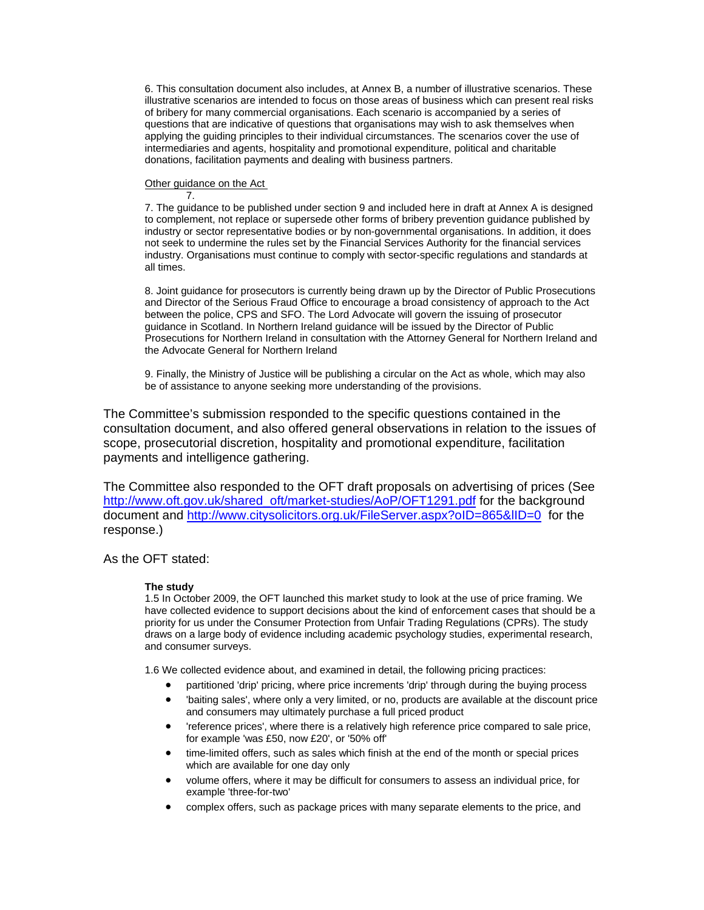6. This consultation document also includes, at Annex B, a number of illustrative scenarios. These illustrative scenarios are intended to focus on those areas of business which can present real risks of bribery for many commercial organisations. Each scenario is accompanied by a series of questions that are indicative of questions that organisations may wish to ask themselves when applying the guiding principles to their individual circumstances. The scenarios cover the use of intermediaries and agents, hospitality and promotional expenditure, political and charitable donations, facilitation payments and dealing with business partners.

#### Other guidance on the Act 7.

7. The guidance to be published under section 9 and included here in draft at Annex A is designed to complement, not replace or supersede other forms of bribery prevention guidance published by industry or sector representative bodies or by non-governmental organisations. In addition, it does not seek to undermine the rules set by the Financial Services Authority for the financial services industry. Organisations must continue to comply with sector-specific regulations and standards at all times.

8. Joint guidance for prosecutors is currently being drawn up by the Director of Public Prosecutions and Director of the Serious Fraud Office to encourage a broad consistency of approach to the Act between the police, CPS and SFO. The Lord Advocate will govern the issuing of prosecutor guidance in Scotland. In Northern Ireland guidance will be issued by the Director of Public Prosecutions for Northern Ireland in consultation with the Attorney General for Northern Ireland and the Advocate General for Northern Ireland

9. Finally, the Ministry of Justice will be publishing a circular on the Act as whole, which may also be of assistance to anyone seeking more understanding of the provisions.

The Committee's submission responded to the specific questions contained in the consultation document, and also offered general observations in relation to the issues of scope, prosecutorial discretion, hospitality and promotional expenditure, facilitation payments and intelligence gathering.

The Committee also responded to the OFT draft proposals on advertising of prices (See [http://www.oft.gov.uk/shared\\_oft/market-studies/AoP/OFT1291.pdf](http://www.oft.gov.uk/shared_oft/market-studies/AoP/OFT1291.pdf) for the background document and <http://www.citysolicitors.org.uk/FileServer.aspx?oID=865&lID=0>for the response.)

# As the OFT stated:

#### **The study**

1.5 In October 2009, the OFT launched this market study to look at the use of price framing. We have collected evidence to support decisions about the kind of enforcement cases that should be a priority for us under the Consumer Protection from Unfair Trading Regulations (CPRs). The study draws on a large body of evidence including academic psychology studies, experimental research, and consumer surveys.

1.6 We collected evidence about, and examined in detail, the following pricing practices:

- partitioned 'drip' pricing, where price increments 'drip' through during the buying process
- 'baiting sales', where only a very limited, or no, products are available at the discount price and consumers may ultimately purchase a full priced product
- 'reference prices', where there is a relatively high reference price compared to sale price, for example 'was £50, now £20', or '50% off'
- time-limited offers, such as sales which finish at the end of the month or special prices which are available for one day only
- volume offers, where it may be difficult for consumers to assess an individual price, for example 'three-for-two'
- complex offers, such as package prices with many separate elements to the price, and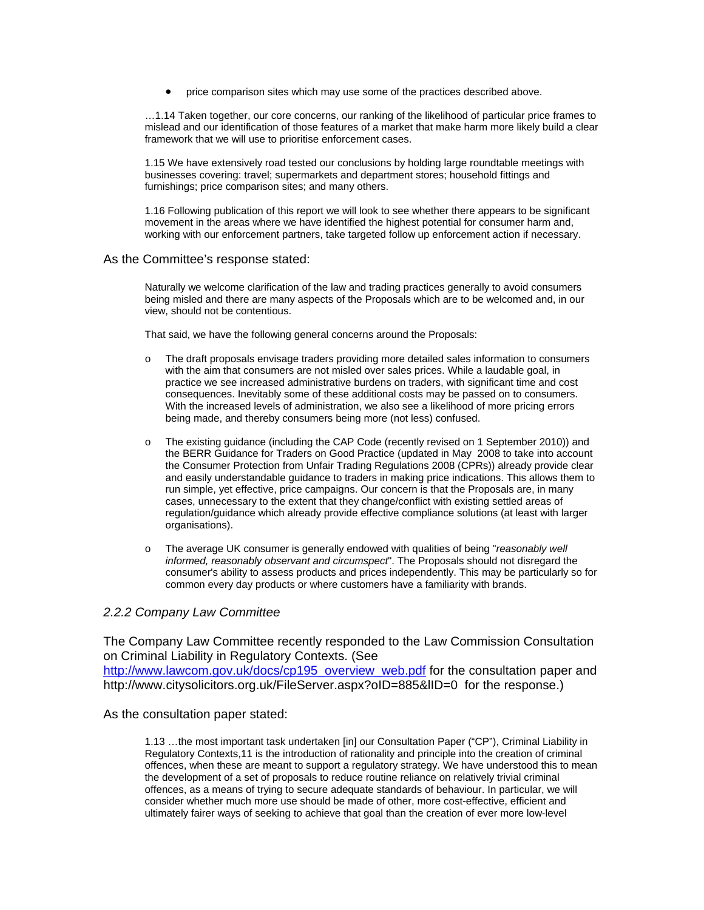• price comparison sites which may use some of the practices described above.

…1.14 Taken together, our core concerns, our ranking of the likelihood of particular price frames to mislead and our identification of those features of a market that make harm more likely build a clear framework that we will use to prioritise enforcement cases.

1.15 We have extensively road tested our conclusions by holding large roundtable meetings with businesses covering: travel; supermarkets and department stores; household fittings and furnishings; price comparison sites; and many others.

1.16 Following publication of this report we will look to see whether there appears to be significant movement in the areas where we have identified the highest potential for consumer harm and, working with our enforcement partners, take targeted follow up enforcement action if necessary.

#### As the Committee's response stated:

Naturally we welcome clarification of the law and trading practices generally to avoid consumers being misled and there are many aspects of the Proposals which are to be welcomed and, in our view, should not be contentious.

That said, we have the following general concerns around the Proposals:

- o The draft proposals envisage traders providing more detailed sales information to consumers with the aim that consumers are not misled over sales prices. While a laudable goal, in practice we see increased administrative burdens on traders, with significant time and cost consequences. Inevitably some of these additional costs may be passed on to consumers. With the increased levels of administration, we also see a likelihood of more pricing errors being made, and thereby consumers being more (not less) confused.
- o The existing guidance (including the CAP Code (recently revised on 1 September 2010)) and the BERR Guidance for Traders on Good Practice (updated in May 2008 to take into account the Consumer Protection from Unfair Trading Regulations 2008 (CPRs)) already provide clear and easily understandable guidance to traders in making price indications. This allows them to run simple, yet effective, price campaigns. Our concern is that the Proposals are, in many cases, unnecessary to the extent that they change/conflict with existing settled areas of regulation/guidance which already provide effective compliance solutions (at least with larger organisations).
- o The average UK consumer is generally endowed with qualities of being "*reasonably well informed, reasonably observant and circumspect*". The Proposals should not disregard the consumer's ability to assess products and prices independently. This may be particularly so for common every day products or where customers have a familiarity with brands.

### *2.2.2 Company Law Committee*

The Company Law Committee recently responded to the Law Commission Consultation on Criminal Liability in Regulatory Contexts. (See [http://www.lawcom.gov.uk/docs/cp195\\_overview\\_web.pdf](http://www.lawcom.gov.uk/docs/cp195_overview_web.pdf) for the consultation paper and http://www.citysolicitors.org.uk/FileServer.aspx?oID=885&lID=0 for the response.)

As the consultation paper stated:

1.13 …the most important task undertaken [in] our Consultation Paper ("CP"), Criminal Liability in Regulatory Contexts,11 is the introduction of rationality and principle into the creation of criminal offences, when these are meant to support a regulatory strategy. We have understood this to mean the development of a set of proposals to reduce routine reliance on relatively trivial criminal offences, as a means of trying to secure adequate standards of behaviour. In particular, we will consider whether much more use should be made of other, more cost-effective, efficient and ultimately fairer ways of seeking to achieve that goal than the creation of ever more low-level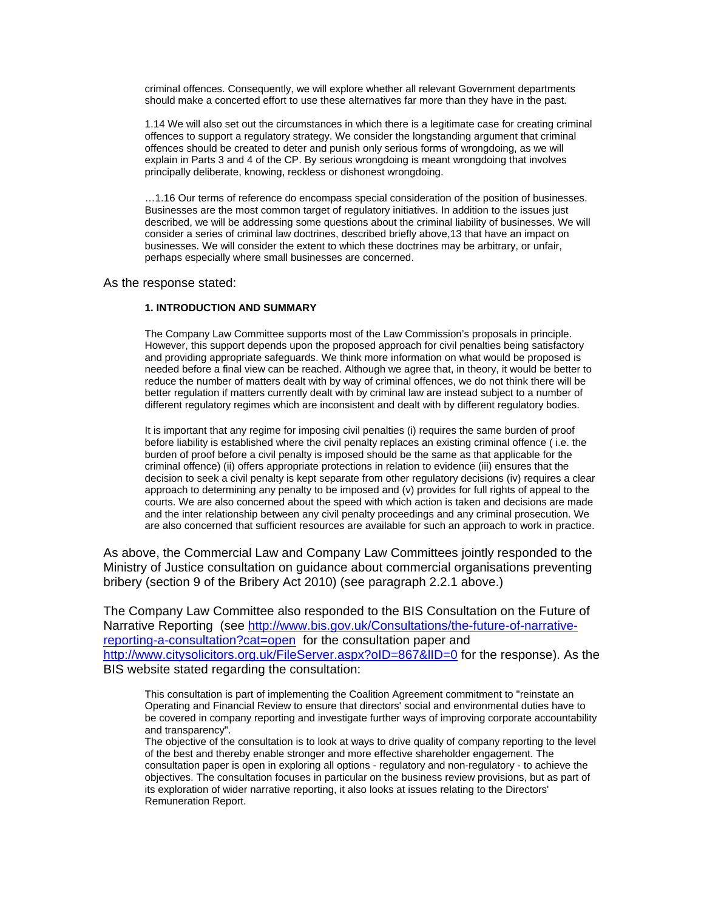criminal offences. Consequently, we will explore whether all relevant Government departments should make a concerted effort to use these alternatives far more than they have in the past.

1.14 We will also set out the circumstances in which there is a legitimate case for creating criminal offences to support a regulatory strategy. We consider the longstanding argument that criminal offences should be created to deter and punish only serious forms of wrongdoing, as we will explain in Parts 3 and 4 of the CP. By serious wrongdoing is meant wrongdoing that involves principally deliberate, knowing, reckless or dishonest wrongdoing.

…1.16 Our terms of reference do encompass special consideration of the position of businesses. Businesses are the most common target of regulatory initiatives. In addition to the issues just described, we will be addressing some questions about the criminal liability of businesses. We will consider a series of criminal law doctrines, described briefly above,13 that have an impact on businesses. We will consider the extent to which these doctrines may be arbitrary, or unfair, perhaps especially where small businesses are concerned.

#### As the response stated:

#### **1. INTRODUCTION AND SUMMARY**

The Company Law Committee supports most of the Law Commission's proposals in principle. However, this support depends upon the proposed approach for civil penalties being satisfactory and providing appropriate safeguards. We think more information on what would be proposed is needed before a final view can be reached. Although we agree that, in theory, it would be better to reduce the number of matters dealt with by way of criminal offences, we do not think there will be better regulation if matters currently dealt with by criminal law are instead subject to a number of different regulatory regimes which are inconsistent and dealt with by different regulatory bodies.

It is important that any regime for imposing civil penalties (i) requires the same burden of proof before liability is established where the civil penalty replaces an existing criminal offence ( i.e. the burden of proof before a civil penalty is imposed should be the same as that applicable for the criminal offence) (ii) offers appropriate protections in relation to evidence (iii) ensures that the decision to seek a civil penalty is kept separate from other regulatory decisions (iv) requires a clear approach to determining any penalty to be imposed and (v) provides for full rights of appeal to the courts. We are also concerned about the speed with which action is taken and decisions are made and the inter relationship between any civil penalty proceedings and any criminal prosecution. We are also concerned that sufficient resources are available for such an approach to work in practice.

As above, the Commercial Law and Company Law Committees jointly responded to the Ministry of Justice consultation on guidance about commercial organisations preventing bribery (section 9 of the Bribery Act 2010) (see paragraph 2.2.1 above.)

The Company Law Committee also responded to the BIS Consultation on the Future of Narrative Reporting (see [http://www.bis.gov.uk/Consultations/the-future-of-narrative](http://www.bis.gov.uk/Consultations/the-future-of-narrative-reporting-a-consultation?cat=open)[reporting-a-consultation?cat=open](http://www.bis.gov.uk/Consultations/the-future-of-narrative-reporting-a-consultation?cat=open) for the consultation paper and http://www.citysolicitors.org.uk/FileServer.aspx?oID=867&IID=0 for the response). As the BIS website stated regarding the consultation:

This consultation is part of implementing the Coalition Agreement commitment to "reinstate an Operating and Financial Review to ensure that directors' social and environmental duties have to be covered in company reporting and investigate further ways of improving corporate accountability and transparency".

The objective of the consultation is to look at ways to drive quality of company reporting to the level of the best and thereby enable stronger and more effective shareholder engagement. The consultation paper is open in exploring all options - regulatory and non-regulatory - to achieve the objectives. The consultation focuses in particular on the business review provisions, but as part of its exploration of wider narrative reporting, it also looks at issues relating to the Directors' Remuneration Report.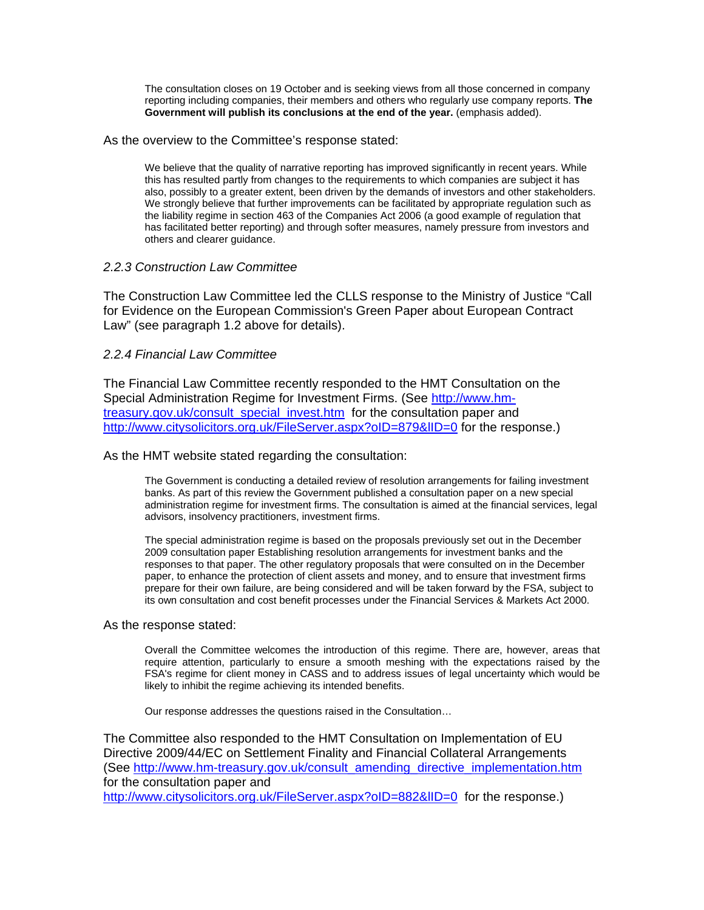The consultation closes on 19 October and is seeking views from all those concerned in company reporting including companies, their members and others who regularly use company reports. **The Government will publish its conclusions at the end of the year.** (emphasis added).

As the overview to the Committee's response stated:

We believe that the quality of narrative reporting has improved significantly in recent years. While this has resulted partly from changes to the requirements to which companies are subject it has also, possibly to a greater extent, been driven by the demands of investors and other stakeholders. We strongly believe that further improvements can be facilitated by appropriate regulation such as the liability regime in section 463 of the Companies Act 2006 (a good example of regulation that has facilitated better reporting) and through softer measures, namely pressure from investors and others and clearer guidance.

### *2.2.3 Construction Law Committee*

The Construction Law Committee led the CLLS response to the Ministry of Justice "Call for Evidence on the European Commission's Green Paper about European Contract Law" (see paragraph 1.2 above for details).

### *2.2.4 Financial Law Committee*

The Financial Law Committee recently responded to the HMT Consultation on the Special Administration Regime for Investment Firms. (See [http://www.hm](http://www.hm-treasury.gov.uk/consult_special_invest.htm)[treasury.gov.uk/consult\\_special\\_invest.htm](http://www.hm-treasury.gov.uk/consult_special_invest.htm) for the consultation paper and http://www.citysolicitors.org.uk/FileServer.aspx?oID=879&IID=0 for the response.)

As the HMT website stated regarding the consultation:

The Government is conducting a detailed review of resolution arrangements for failing investment banks. As part of this review the Government published a consultation paper on a new special administration regime for investment firms. The consultation is aimed at the financial services, legal advisors, insolvency practitioners, investment firms.

The special administration regime is based on the proposals previously set out in the December 2009 consultation paper Establishing resolution arrangements for investment banks and the responses to that paper. The other regulatory proposals that were consulted on in the December paper, to enhance the protection of client assets and money, and to ensure that investment firms prepare for their own failure, are being considered and will be taken forward by the FSA, subject to its own consultation and cost benefit processes under the Financial Services & Markets Act 2000.

### As the response stated:

Overall the Committee welcomes the introduction of this regime. There are, however, areas that require attention, particularly to ensure a smooth meshing with the expectations raised by the FSA's regime for client money in CASS and to address issues of legal uncertainty which would be likely to inhibit the regime achieving its intended benefits.

Our response addresses the questions raised in the Consultation…

The Committee also responded to the HMT Consultation on Implementation of EU Directive 2009/44/EC on Settlement Finality and Financial Collateral Arrangements (See [http://www.hm-treasury.gov.uk/consult\\_amending\\_directive\\_implementation.htm](http://www.hm-treasury.gov.uk/consult_amending_directive_implementation.htm) for the consultation paper and

<http://www.citysolicitors.org.uk/FileServer.aspx?oID=882&lID=0> for the response.)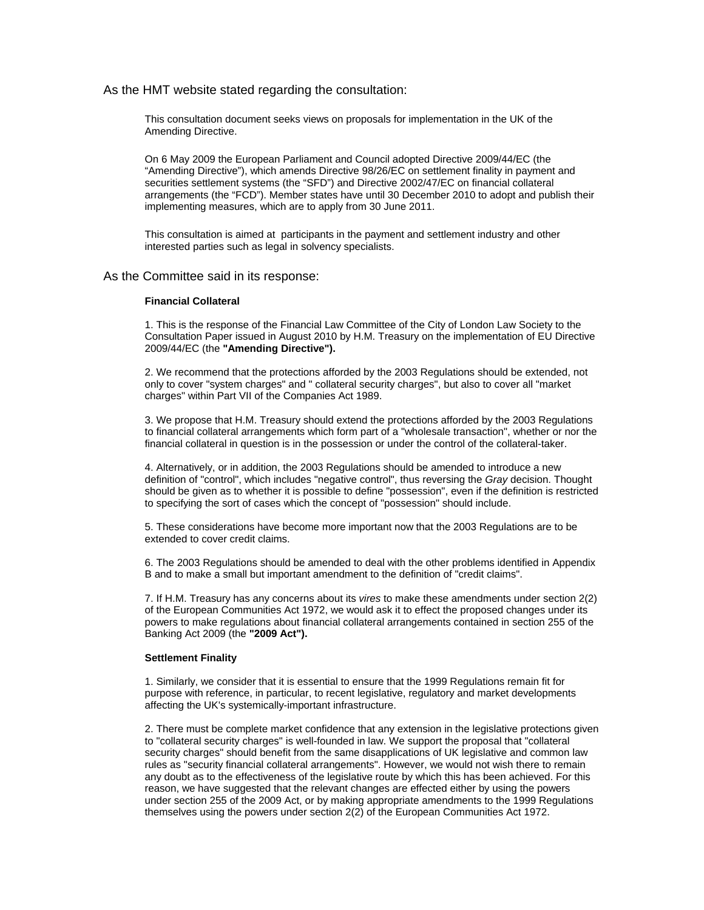#### As the HMT website stated regarding the consultation:

This consultation document seeks views on proposals for implementation in the UK of the Amending Directive.

On 6 May 2009 the European Parliament and Council adopted Directive 2009/44/EC (the "Amending Directive"), which amends Directive 98/26/EC on settlement finality in payment and securities settlement systems (the "SFD") and Directive 2002/47/EC on financial collateral arrangements (the "FCD"). Member states have until 30 December 2010 to adopt and publish their implementing measures, which are to apply from 30 June 2011.

This consultation is aimed at participants in the payment and settlement industry and other interested parties such as legal in solvency specialists.

#### As the Committee said in its response:

#### **Financial Collateral**

1. This is the response of the Financial Law Committee of the City of London Law Society to the Consultation Paper issued in August 2010 by H.M. Treasury on the implementation of EU Directive 2009/44/EC (the **"Amending Directive").** 

2. We recommend that the protections afforded by the 2003 Regulations should be extended, not only to cover "system charges" and " collateral security charges", but also to cover all "market charges" within Part VII of the Companies Act 1989.

3. We propose that H.M. Treasury should extend the protections afforded by the 2003 Regulations to financial collateral arrangements which form part of a "wholesale transaction", whether or nor the financial collateral in question is in the possession or under the control of the collateral-taker.

4. Alternatively, or in addition, the 2003 Regulations should be amended to introduce a new definition of "control", which includes "negative control", thus reversing the *Gray* decision. Thought should be given as to whether it is possible to define "possession", even if the definition is restricted to specifying the sort of cases which the concept of "possession" should include.

5. These considerations have become more important now that the 2003 Regulations are to be extended to cover credit claims.

6. The 2003 Regulations should be amended to deal with the other problems identified in Appendix B and to make a small but important amendment to the definition of "credit claims".

7. If H.M. Treasury has any concerns about its *vires* to make these amendments under section 2(2) of the European Communities Act 1972, we would ask it to effect the proposed changes under its powers to make regulations about financial collateral arrangements contained in section 255 of the Banking Act 2009 (the **"2009 Act").** 

#### **Settlement Finality**

1. Similarly, we consider that it is essential to ensure that the 1999 Regulations remain fit for purpose with reference, in particular, to recent legislative, regulatory and market developments affecting the UK's systemically-important infrastructure.

2. There must be complete market confidence that any extension in the legislative protections given to "collateral security charges" is well-founded in law. We support the proposal that "collateral security charges" should benefit from the same disapplications of UK legislative and common law rules as "security financial collateral arrangements". However, we would not wish there to remain any doubt as to the effectiveness of the legislative route by which this has been achieved. For this reason, we have suggested that the relevant changes are effected either by using the powers under section 255 of the 2009 Act, or by making appropriate amendments to the 1999 Regulations themselves using the powers under section 2(2) of the European Communities Act 1972.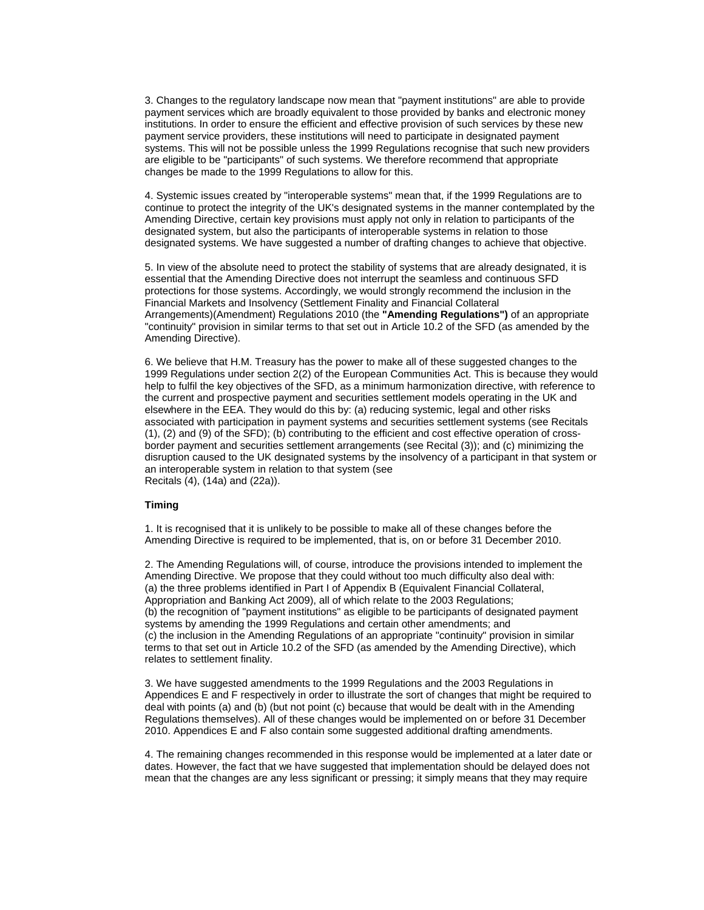3. Changes to the regulatory landscape now mean that "payment institutions" are able to provide payment services which are broadly equivalent to those provided by banks and electronic money institutions. In order to ensure the efficient and effective provision of such services by these new payment service providers, these institutions will need to participate in designated payment systems. This will not be possible unless the 1999 Regulations recognise that such new providers are eligible to be "participants" of such systems. We therefore recommend that appropriate changes be made to the 1999 Regulations to allow for this.

4. Systemic issues created by "interoperable systems" mean that, if the 1999 Regulations are to continue to protect the integrity of the UK's designated systems in the manner contemplated by the Amending Directive, certain key provisions must apply not only in relation to participants of the designated system, but also the participants of interoperable systems in relation to those designated systems. We have suggested a number of drafting changes to achieve that objective.

5. In view of the absolute need to protect the stability of systems that are already designated, it is essential that the Amending Directive does not interrupt the seamless and continuous SFD protections for those systems. Accordingly, we would strongly recommend the inclusion in the Financial Markets and Insolvency (Settlement Finality and Financial Collateral Arrangements)(Amendment) Regulations 2010 (the **"Amending Regulations")** of an appropriate "continuity" provision in similar terms to that set out in Article 10.2 of the SFD (as amended by the Amending Directive).

6. We believe that H.M. Treasury has the power to make all of these suggested changes to the 1999 Regulations under section 2(2) of the European Communities Act. This is because they would help to fulfil the key objectives of the SFD, as a minimum harmonization directive, with reference to the current and prospective payment and securities settlement models operating in the UK and elsewhere in the EEA. They would do this by: (a) reducing systemic, legal and other risks associated with participation in payment systems and securities settlement systems (see Recitals (1), (2) and (9) of the SFD); (b) contributing to the efficient and cost effective operation of crossborder payment and securities settlement arrangements (see Recital (3)); and (c) minimizing the disruption caused to the UK designated systems by the insolvency of a participant in that system or an interoperable system in relation to that system (see Recitals (4), (14a) and (22a)).

#### **Timing**

1. It is recognised that it is unlikely to be possible to make all of these changes before the Amending Directive is required to be implemented, that is, on or before 31 December 2010.

2. The Amending Regulations will, of course, introduce the provisions intended to implement the Amending Directive. We propose that they could without too much difficulty also deal with: (a) the three problems identified in Part I of Appendix B (Equivalent Financial Collateral, Appropriation and Banking Act 2009), all of which relate to the 2003 Regulations; (b) the recognition of "payment institutions" as eligible to be participants of designated payment systems by amending the 1999 Regulations and certain other amendments; and (c) the inclusion in the Amending Regulations of an appropriate "continuity" provision in similar terms to that set out in Article 10.2 of the SFD (as amended by the Amending Directive), which relates to settlement finality.

3. We have suggested amendments to the 1999 Regulations and the 2003 Regulations in Appendices E and F respectively in order to illustrate the sort of changes that might be required to deal with points (a) and (b) (but not point (c) because that would be dealt with in the Amending Regulations themselves). All of these changes would be implemented on or before 31 December 2010. Appendices E and F also contain some suggested additional drafting amendments.

4. The remaining changes recommended in this response would be implemented at a later date or dates. However, the fact that we have suggested that implementation should be delayed does not mean that the changes are any less significant or pressing; it simply means that they may require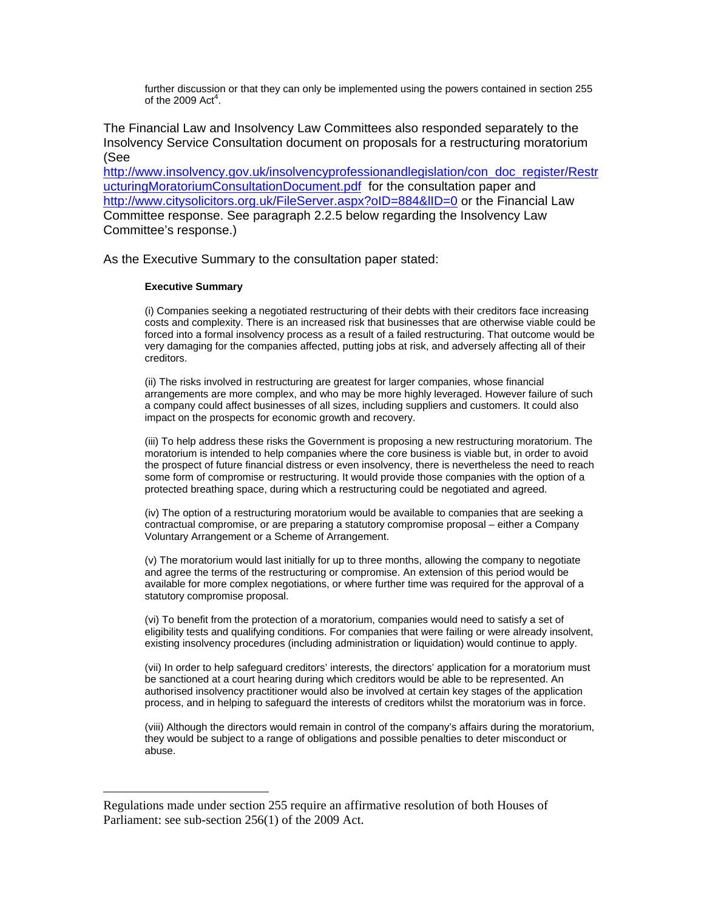further discussion or that they can only be implemented using the powers contained in section 255 of the 2009  $Act<sup>4</sup>$  $Act<sup>4</sup>$  $Act<sup>4</sup>$ [.](#page-9-0)

<span id="page-9-1"></span>The Financial Law and Insolvency Law Committees also responded separately to the Insolvency Service Consultation document on proposals for a restructuring moratorium (See

[http://www.insolvency.gov.uk/insolvencyprofessionandlegislation/con\\_doc\\_register/Restr](http://www.insolvency.gov.uk/insolvencyprofessionandlegislation/con_doc_register/RestructuringMoratoriumConsultationDocument.pdf) [ucturingMoratoriumConsultationDocument.pdf](http://www.insolvency.gov.uk/insolvencyprofessionandlegislation/con_doc_register/RestructuringMoratoriumConsultationDocument.pdf) for the consultation paper and http://www.citysolicitors.org.uk/FileServer.aspx?oID=884&IID=0 or the Financial Law Committee response. See paragraph 2.2.5 below regarding the Insolvency Law Committee's response.)

As the Executive Summary to the consultation paper stated:

#### **Executive Summary**

 $\overline{a}$ 

(i) Companies seeking a negotiated restructuring of their debts with their creditors face increasing costs and complexity. There is an increased risk that businesses that are otherwise viable could be forced into a formal insolvency process as a result of a failed restructuring. That outcome would be very damaging for the companies affected, putting jobs at risk, and adversely affecting all of their creditors.

(ii) The risks involved in restructuring are greatest for larger companies, whose financial arrangements are more complex, and who may be more highly leveraged. However failure of such a company could affect businesses of all sizes, including suppliers and customers. It could also impact on the prospects for economic growth and recovery.

(iii) To help address these risks the Government is proposing a new restructuring moratorium. The moratorium is intended to help companies where the core business is viable but, in order to avoid the prospect of future financial distress or even insolvency, there is nevertheless the need to reach some form of compromise or restructuring. It would provide those companies with the option of a protected breathing space, during which a restructuring could be negotiated and agreed.

(iv) The option of a restructuring moratorium would be available to companies that are seeking a contractual compromise, or are preparing a statutory compromise proposal – either a Company Voluntary Arrangement or a Scheme of Arrangement.

(v) The moratorium would last initially for up to three months, allowing the company to negotiate and agree the terms of the restructuring or compromise. An extension of this period would be available for more complex negotiations, or where further time was required for the approval of a statutory compromise proposal.

(vi) To benefit from the protection of a moratorium, companies would need to satisfy a set of eligibility tests and qualifying conditions. For companies that were failing or were already insolvent, existing insolvency procedures (including administration or liquidation) would continue to apply.

(vii) In order to help safeguard creditors' interests, the directors' application for a moratorium must be sanctioned at a court hearing during which creditors would be able to be represented. An authorised insolvency practitioner would also be involved at certain key stages of the application process, and in helping to safeguard the interests of creditors whilst the moratorium was in force.

(viii) Although the directors would remain in control of the company's affairs during the moratorium, they would be subject to a range of obligations and possible penalties to deter misconduct or abuse.

<span id="page-9-0"></span>Regulations made under section 255 require an affirmative resolution of both Houses of Parliament: see sub-section 256(1) of the 2009 Act.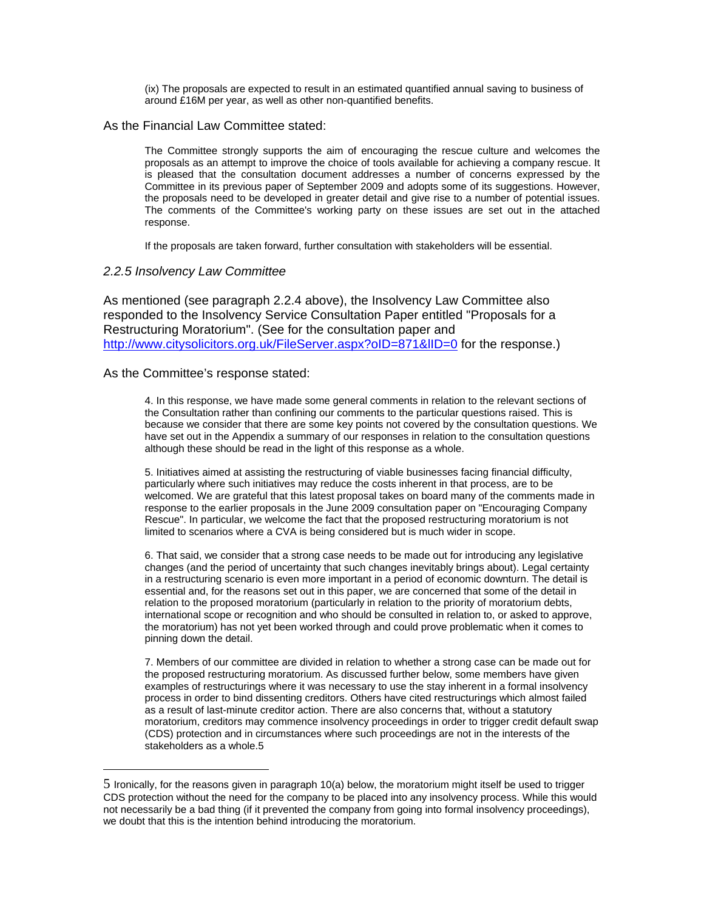(ix) The proposals are expected to result in an estimated quantified annual saving to business of around £16M per year, as well as other non-quantified benefits.

### As the Financial Law Committee stated:

The Committee strongly supports the aim of encouraging the rescue culture and welcomes the proposals as an attempt to improve the choice of tools available for achieving a company rescue. It is pleased that the consultation document addresses a number of concerns expressed by the Committee in its previous paper of September 2009 and adopts some of its suggestions. However, the proposals need to be developed in greater detail and give rise to a number of potential issues. The comments of the Committee's working party on these issues are set out in the attached response.

If the proposals are taken forward, further consultation with stakeholders will be essential.

### *2.2.5 Insolvency Law Committee*

As mentioned (see paragraph 2.2.4 above), the Insolvency Law Committee also responded to the Insolvency Service Consultation Paper entitled "Proposals for a Restructuring Moratorium". (See for the consultation paper and http://www.citysolicitors.org.uk/FileServer.aspx?oID=871&IID=0 for the response.)

#### As the Committee's response stated:

 $\overline{a}$ 

4. In this response, we have made some general comments in relation to the relevant sections of the Consultation rather than confining our comments to the particular questions raised. This is because we consider that there are some key points not covered by the consultation questions. We have set out in the Appendix a summary of our responses in relation to the consultation questions although these should be read in the light of this response as a whole.

5. Initiatives aimed at assisting the restructuring of viable businesses facing financial difficulty, particularly where such initiatives may reduce the costs inherent in that process, are to be welcomed. We are grateful that this latest proposal takes on board many of the comments made in response to the earlier proposals in the June 2009 consultation paper on "Encouraging Company Rescue". In particular, we welcome the fact that the proposed restructuring moratorium is not limited to scenarios where a CVA is being considered but is much wider in scope.

6. That said, we consider that a strong case needs to be made out for introducing any legislative changes (and the period of uncertainty that such changes inevitably brings about). Legal certainty in a restructuring scenario is even more important in a period of economic downturn. The detail is essential and, for the reasons set out in this paper, we are concerned that some of the detail in relation to the proposed moratorium (particularly in relation to the priority of moratorium debts, international scope or recognition and who should be consulted in relation to, or asked to approve, the moratorium) has not yet been worked through and could prove problematic when it comes to pinning down the detail.

7. Members of our committee are divided in relation to whether a strong case can be made out for the proposed restructuring moratorium. As discussed further below, some members have given examples of restructurings where it was necessary to use the stay inherent in a formal insolvency process in order to bind dissenting creditors. Others have cited restructurings which almost failed as a result of last-minute creditor action. There are also concerns that, without a statutory moratorium, creditors may commence insolvency proceedings in order to trigger credit default swap (CDS) protection and in circumstances where such proceedings are not in the interests of the stakeholders as a whole.[5](#page-10-0) 

<span id="page-10-0"></span><sup>5</sup> Ironically, for the reasons given in paragraph 10(a) below, the moratorium might itself be used to trigger CDS protection without the need for the company to be placed into any insolvency process. While this would not necessarily be a bad thing (if it prevented the company from going into formal insolvency proceedings), we doubt that this is the intention behind introducing the moratorium.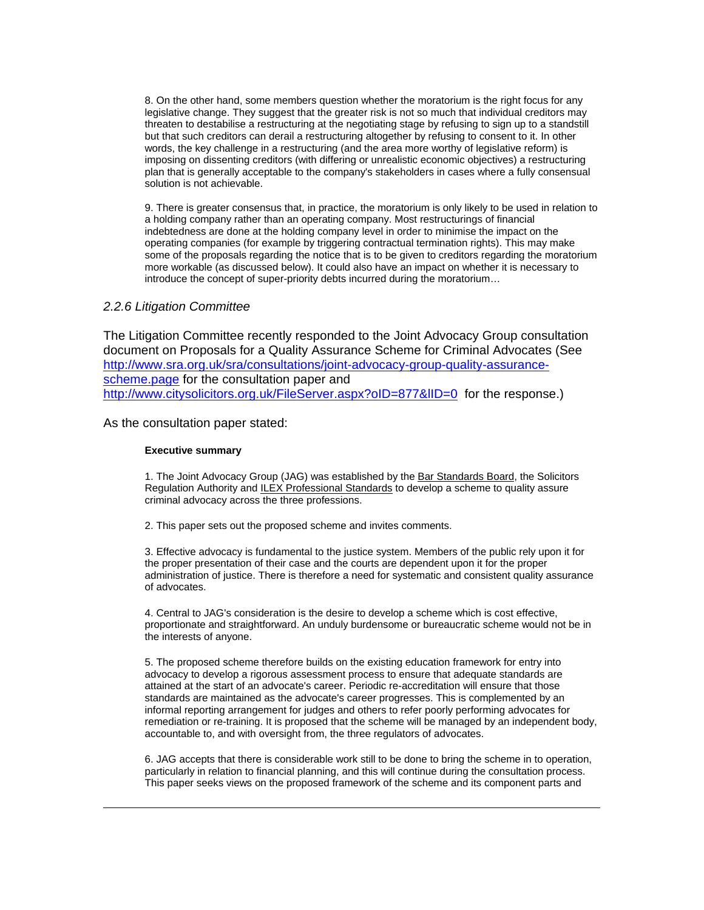8. On the other hand, some members question whether the moratorium is the right focus for any legislative change. They suggest that the greater risk is not so much that individual creditors may threaten to destabilise a restructuring at the negotiating stage by refusing to sign up to a standstill but that such creditors can derail a restructuring altogether by refusing to consent to it. In other words, the key challenge in a restructuring (and the area more worthy of legislative reform) is imposing on dissenting creditors (with differing or unrealistic economic objectives) a restructuring plan that is generally acceptable to the company's stakeholders in cases where a fully consensual solution is not achievable.

9. There is greater consensus that, in practice, the moratorium is only likely to be used in relation to a holding company rather than an operating company. Most restructurings of financial indebtedness are done at the holding company level in order to minimise the impact on the operating companies (for example by triggering contractual termination rights). This may make some of the proposals regarding the notice that is to be given to creditors regarding the moratorium more workable (as discussed below). It could also have an impact on whether it is necessary to introduce the concept of super-priority debts incurred during the moratorium…

### *2.2.6 Litigation Committee*

The Litigation Committee recently responded to the Joint Advocacy Group consultation document on Proposals for a Quality Assurance Scheme for Criminal Advocates (See [http://www.sra.org.uk/sra/consultations/joint-advocacy-group-quality-assurance](http://www.sra.org.uk/sra/consultations/joint-advocacy-group-quality-assurance-scheme.page)[scheme.page](http://www.sra.org.uk/sra/consultations/joint-advocacy-group-quality-assurance-scheme.page) for the consultation paper and http://www.citysolicitors.org.uk/FileServer.aspx?oID=877&IID=0 for the response.)

As the consultation paper stated:

#### **Executive summary**

 $\overline{a}$ 

1. The Joint Advocacy Group (JAG) was established by the [Bar Standards Board](http://www.barstandardsboard.org.uk/), the Solicitors Regulation Authority and [ILEX Professional Standards](http://www.ilex.org.uk/ips/ips_home.aspx) to develop a scheme to quality assure criminal advocacy across the three professions.

2. This paper sets out the proposed scheme and invites comments.

3. Effective advocacy is fundamental to the justice system. Members of the public rely upon it for the proper presentation of their case and the courts are dependent upon it for the proper administration of justice. There is therefore a need for systematic and consistent quality assurance of advocates.

4. Central to JAG's consideration is the desire to develop a scheme which is cost effective, proportionate and straightforward. An unduly burdensome or bureaucratic scheme would not be in the interests of anyone.

5. The proposed scheme therefore builds on the existing education framework for entry into advocacy to develop a rigorous assessment process to ensure that adequate standards are attained at the start of an advocate's career. Periodic re-accreditation will ensure that those standards are maintained as the advocate's career progresses. This is complemented by an informal reporting arrangement for judges and others to refer poorly performing advocates for remediation or re-training. It is proposed that the scheme will be managed by an independent body, accountable to, and with oversight from, the three regulators of advocates.

6. JAG accepts that there is considerable work still to be done to bring the scheme in to operation, particularly in relation to financial planning, and this will continue during the consultation process. This paper seeks views on the proposed framework of the scheme and its component parts and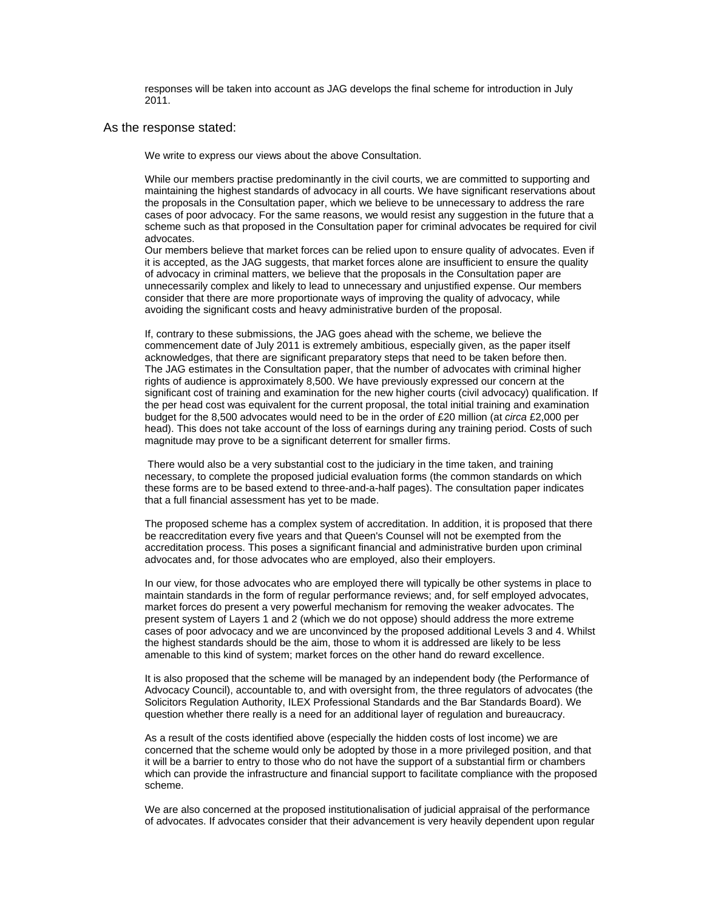responses will be taken into account as JAG develops the final scheme for introduction in July 2011.

#### As the response stated:

We write to express our views about the above Consultation.

While our members practise predominantly in the civil courts, we are committed to supporting and maintaining the highest standards of advocacy in all courts. We have significant reservations about the proposals in the Consultation paper, which we believe to be unnecessary to address the rare cases of poor advocacy. For the same reasons, we would resist any suggestion in the future that a scheme such as that proposed in the Consultation paper for criminal advocates be required for civil advocates.

Our members believe that market forces can be relied upon to ensure quality of advocates. Even if it is accepted, as the JAG suggests, that market forces alone are insufficient to ensure the quality of advocacy in criminal matters, we believe that the proposals in the Consultation paper are unnecessarily complex and likely to lead to unnecessary and unjustified expense. Our members consider that there are more proportionate ways of improving the quality of advocacy, while avoiding the significant costs and heavy administrative burden of the proposal.

If, contrary to these submissions, the JAG goes ahead with the scheme, we believe the commencement date of July 2011 is extremely ambitious, especially given, as the paper itself acknowledges, that there are significant preparatory steps that need to be taken before then. The JAG estimates in the Consultation paper, that the number of advocates with criminal higher rights of audience is approximately 8,500. We have previously expressed our concern at the significant cost of training and examination for the new higher courts (civil advocacy) qualification. If the per head cost was equivalent for the current proposal, the total initial training and examination budget for the 8,500 advocates would need to be in the order of £20 million (at *circa* £2,000 per head). This does not take account of the loss of earnings during any training period. Costs of such magnitude may prove to be a significant deterrent for smaller firms.

 There would also be a very substantial cost to the judiciary in the time taken, and training necessary, to complete the proposed judicial evaluation forms (the common standards on which these forms are to be based extend to three-and-a-half pages). The consultation paper indicates that a full financial assessment has yet to be made.

The proposed scheme has a complex system of accreditation. In addition, it is proposed that there be reaccreditation every five years and that Queen's Counsel will not be exempted from the accreditation process. This poses a significant financial and administrative burden upon criminal advocates and, for those advocates who are employed, also their employers.

In our view, for those advocates who are employed there will typically be other systems in place to maintain standards in the form of regular performance reviews; and, for self employed advocates, market forces do present a very powerful mechanism for removing the weaker advocates. The present system of Layers 1 and 2 (which we do not oppose) should address the more extreme cases of poor advocacy and we are unconvinced by the proposed additional Levels 3 and 4. Whilst the highest standards should be the aim, those to whom it is addressed are likely to be less amenable to this kind of system; market forces on the other hand do reward excellence.

It is also proposed that the scheme will be managed by an independent body (the Performance of Advocacy Council), accountable to, and with oversight from, the three regulators of advocates (the Solicitors Regulation Authority, ILEX Professional Standards and the Bar Standards Board). We question whether there really is a need for an additional layer of regulation and bureaucracy.

As a result of the costs identified above (especially the hidden costs of lost income) we are concerned that the scheme would only be adopted by those in a more privileged position, and that it will be a barrier to entry to those who do not have the support of a substantial firm or chambers which can provide the infrastructure and financial support to facilitate compliance with the proposed scheme.

We are also concerned at the proposed institutionalisation of judicial appraisal of the performance of advocates. If advocates consider that their advancement is very heavily dependent upon regular